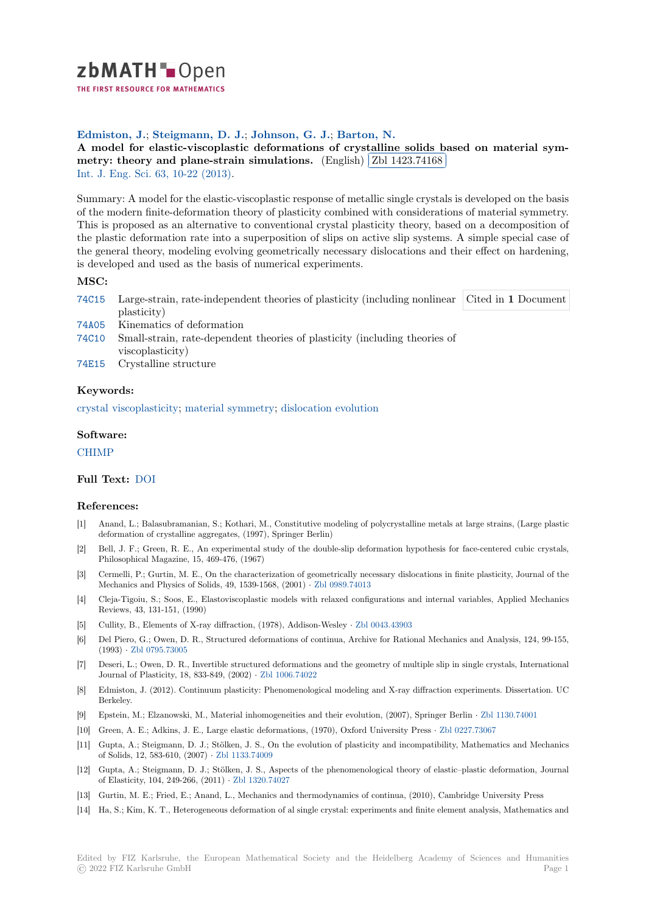

THE FIRST RESOURCE FOR MATHEMATICS

# **Edmiston, J.**; **Steigmann, D. J.**; **Johnson, G. J.**; **Barton, N.**

**[A](https://zbmath.org/) model for elastic-viscoplastic deformations of crystalline solids based on material sym- A** moder for elastic-viscopiastic deformations of crystanetry: theory and plane-strain simulations. (English) ✂ Zbl 1423.74168 Į. Int. J. Eng. Sci. 63, 10-22 (2013).

[Summary: A model for the elastic-viscoplastic response of metallic single crystals is developed on the basis](https://zbmath.org/1423.74168) [of the modern finite-deformation theory of plasticit](https://zbmath.org/1423.74168)y combine[d with consideratio](https://zbmath.org/1423.74168)ns of material symmetry. [This is proposed](https://zbmath.org/journals/?q=se:96) [as an alternativ](https://zbmath.org/?q=in:420573)e to conventional crystal plasticity theory, based on a decomposition of the plastic deformation rate into a superposition of slips on active slip systems. A simple special case of the general theory, modeling evolving geometrically necessary dislocations and their effect on hardening, is developed and used as the basis of numerical experiments.

# **MSC:**

- 74C15 Large-strain, rate-independent theories of plasticity (including nonlinear Cited in **1** Document plasticity)
- 74A05 Kinematics of deformation
- 74C10 Small-strain, rate-dependent theories of plasticity (including theories of viscoplasticity)
- [74E15](https://zbmath.org/classification/?q=cc:74C15) Crystalline structure

#### **[Keyw](https://zbmath.org/classification/?q=cc:74C10)ords:**

[crysta](https://zbmath.org/classification/?q=cc:74E15)l viscoplasticity; material symmetry; dislocation evolution

## **Software:**

#### [CHIMP](https://zbmath.org/?q=ut:crystal+viscoplasticity)

## **Full Text:** DOI

#### **[Referen](https://swmath.org/software/8704)ces:**

- [1] Anand, L.; Balasubramanian, S.; Kothari, M., Constitutive modeling of polycrystalline metals at large strains, (Large plastic deformati[on of](https://dx.doi.org/10.1016/j.ijengsci.2012.10.001) crystalline aggregates, (1997), Springer Berlin)
- [2] Bell, J. F.; Green, R. E., An experimental study of the double-slip deformation hypothesis for face-centered cubic crystals, Philosophical Magazine, 15, 469-476, (1967)
- [3] Cermelli, P.; Gurtin, M. E., On the characterization of geometrically necessary dislocations in finite plasticity, Journal of the Mechanics and Physics of Solids, 49, 1539-1568, (2001) *·* Zbl 0989.74013
- [4] Cleja-Tigoiu, S.; Soos, E., Elastoviscoplastic models with relaxed configurations and internal variables, Applied Mechanics Reviews, 43, 131-151, (1990)
- [5] Cullity, B., Elements of X-ray diffraction, (1978), Addison-Wesley *·* Zbl 0043.43903
- [6] Del Piero, G.; Owen, D. R., Structured deformations of [continua, Archiv](https://zbmath.org/0989.74013)e for Rational Mechanics and Analysis, 124, 99-155, (1993) *·* Zbl 0795.73005
- [7] Deseri, L.; Owen, D. R., Invertible structured deformations and the geometry of multiple slip in single crystals, International Journal of Plasticity, 18, 833-849, (2002) *·* Zbl 1006.74022
- [8] Edmiston, J. (2012). Continuum plasticity: Phenomenological modeling and X-ray diffraction experiments. Dissertation. UC Berkeley[.](https://zbmath.org/0795.73005)
- [9] Epstein, M.; Elzanowski, M., Material inhomogeneities and their evolution, (2007), Springer Berlin *·* Zbl 1130.74001
- [10] Green, A. E.; Adkins, J. E., Large elastic [deformations, \(1](https://zbmath.org/1006.74022)970), Oxford University Press *·* Zbl 0227.73067
- [11] Gupta, A.; Steigmann, D. J.; Stölken, J. S., On the evolution of plasticity and incompatibility, Mathematics and Mechanics of Solids, 12, 583-610, (2007) *·* Zbl 1133.74009
- [12] Gupta, A.; Steigmann, D. J.; Stölken, J. S., Aspects of the phenomenological theory of elastic–plast[ic deformation,](https://zbmath.org/1130.74001) Journal of Elasticity, 104, 249-266, (2011) *·* Zbl 1320.74027
- [13] Gurtin, M. E.; Fried, E.; Anand, L., Mechanics and thermodynamics of continua, (2010), Cambridge University Press
- [14] Ha, S.; Kim, K. T., Heterogene[ous deformation](https://zbmath.org/1133.74009) of al single crystal: experiments and finite element analysis, Mathematics and